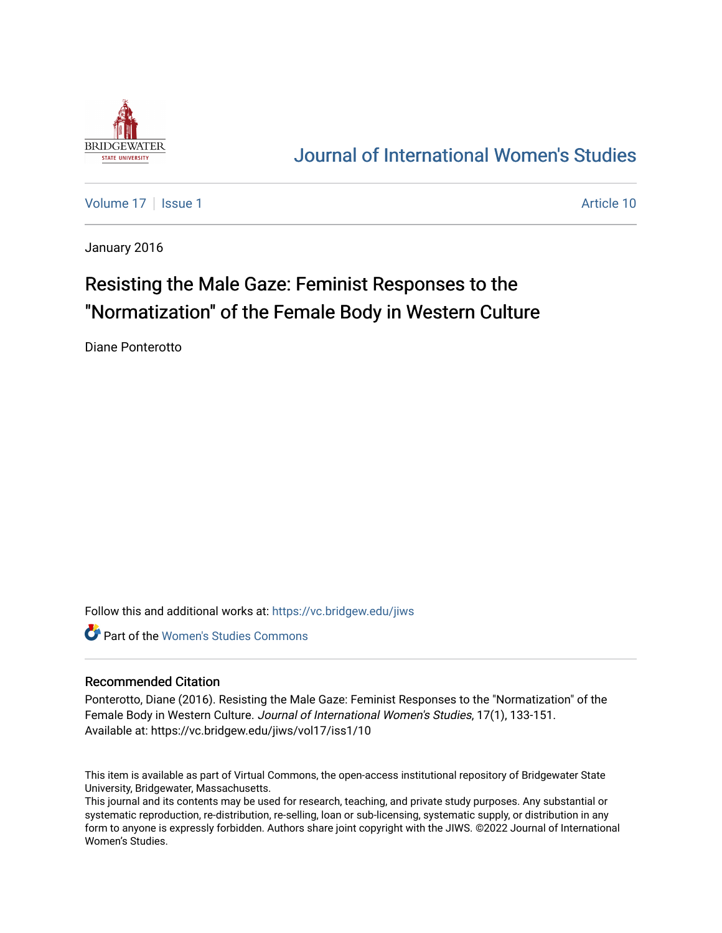

# [Journal of International Women's Studies](https://vc.bridgew.edu/jiws)

[Volume 17](https://vc.bridgew.edu/jiws/vol17) | [Issue 1](https://vc.bridgew.edu/jiws/vol17/iss1) Article 10

January 2016

# Resisting the Male Gaze: Feminist Responses to the "Normatization" of the Female Body in Western Culture

Diane Ponterotto

Follow this and additional works at: [https://vc.bridgew.edu/jiws](https://vc.bridgew.edu/jiws?utm_source=vc.bridgew.edu%2Fjiws%2Fvol17%2Fiss1%2F10&utm_medium=PDF&utm_campaign=PDFCoverPages)

**C** Part of the Women's Studies Commons

#### Recommended Citation

Ponterotto, Diane (2016). Resisting the Male Gaze: Feminist Responses to the "Normatization" of the Female Body in Western Culture. Journal of International Women's Studies, 17(1), 133-151. Available at: https://vc.bridgew.edu/jiws/vol17/iss1/10

This item is available as part of Virtual Commons, the open-access institutional repository of Bridgewater State University, Bridgewater, Massachusetts.

This journal and its contents may be used for research, teaching, and private study purposes. Any substantial or systematic reproduction, re-distribution, re-selling, loan or sub-licensing, systematic supply, or distribution in any form to anyone is expressly forbidden. Authors share joint copyright with the JIWS. ©2022 Journal of International Women's Studies.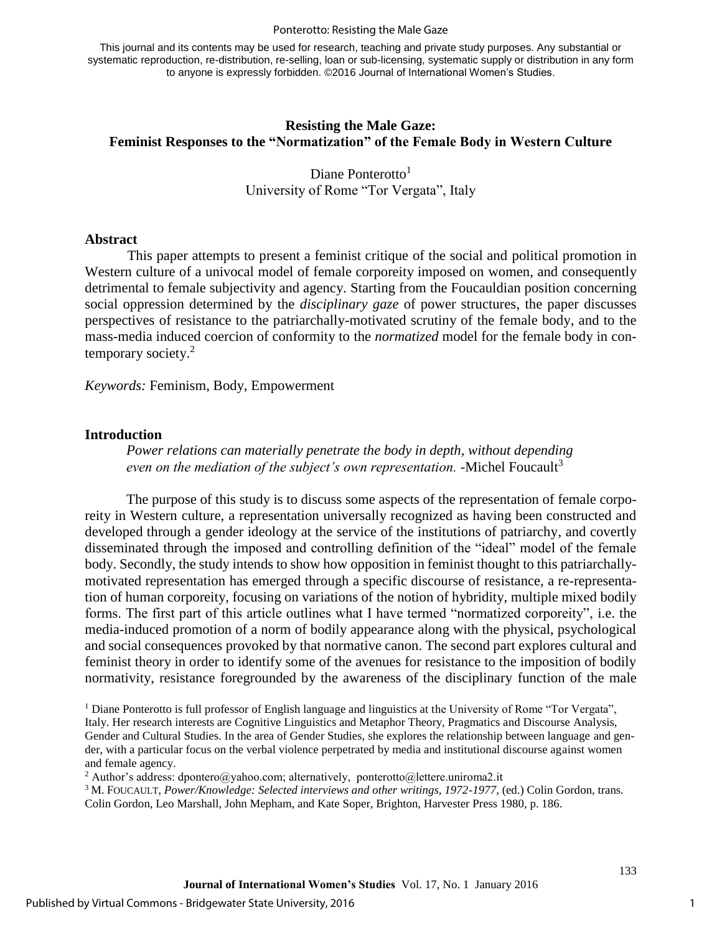#### Ponterotto: Resisting the Male Gaze

This journal and its contents may be used for research, teaching and private study purposes. Any substantial or systematic reproduction, re-distribution, re-selling, loan or sub-licensing, systematic supply or distribution in any form to anyone is expressly forbidden. ©2016 Journal of International Women's Studies.

## **Resisting the Male Gaze: Feminist Responses to the "Normatization" of the Female Body in Western Culture**

Diane Ponterotto<sup>1</sup> University of Rome "Tor Vergata", Italy

#### **Abstract**

 This paper attempts to present a feminist critique of the social and political promotion in Western culture of a univocal model of female corporeity imposed on women, and consequently detrimental to female subjectivity and agency. Starting from the Foucauldian position concerning social oppression determined by the *disciplinary gaze* of power structures*,* the paper discusses perspectives of resistance to the patriarchally-motivated scrutiny of the female body, and to the mass-media induced coercion of conformity to the *normatized* model for the female body in contemporary society. 2

*Keywords:* Feminism, Body, Empowerment

#### **Introduction**

*Power relations can materially penetrate the body in depth, without depending even on the mediation of the subject's own representation.* -Michel Foucault<sup>3</sup>

The purpose of this study is to discuss some aspects of the representation of female corporeity in Western culture, a representation universally recognized as having been constructed and developed through a gender ideology at the service of the institutions of patriarchy, and covertly disseminated through the imposed and controlling definition of the "ideal" model of the female body. Secondly, the study intends to show how opposition in feminist thought to this patriarchallymotivated representation has emerged through a specific discourse of resistance, a re-representation of human corporeity, focusing on variations of the notion of hybridity, multiple mixed bodily forms. The first part of this article outlines what I have termed "normatized corporeity", i.e. the media-induced promotion of a norm of bodily appearance along with the physical, psychological and social consequences provoked by that normative canon. The second part explores cultural and feminist theory in order to identify some of the avenues for resistance to the imposition of bodily normativity, resistance foregrounded by the awareness of the disciplinary function of the male

<sup>1</sup> Diane Ponterotto is full professor of English language and linguistics at the University of Rome "Tor Vergata", Italy. Her research interests are Cognitive Linguistics and Metaphor Theory, Pragmatics and Discourse Analysis, Gender and Cultural Studies. In the area of Gender Studies, she explores the relationship between language and gender, with a particular focus on the verbal violence perpetrated by media and institutional discourse against women and female agency.

<sup>2</sup> Author's address: dpontero@yahoo.com; alternatively, ponterotto@lettere.uniroma2.it

<sup>3</sup> M. FOUCAULT, *Power/Knowledge: Selected interviews and other writings, 1972-1977*, (ed.) Colin Gordon, trans. Colin Gordon, Leo Marshall, John Mepham, and Kate Soper, Brighton, Harvester Press 1980, p. 186.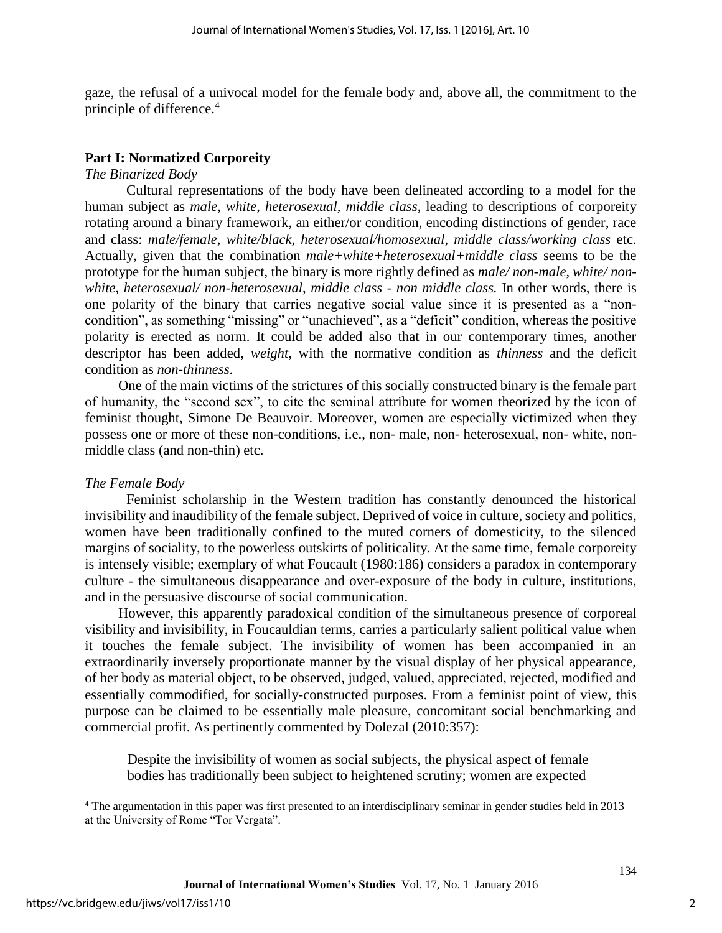gaze, the refusal of a univocal model for the female body and, above all, the commitment to the principle of difference.<sup>4</sup>

# **Part I: Normatized Corporeity**

### *The Binarized Body*

Cultural representations of the body have been delineated according to a model for the human subject as *male*, *white*, *heterosexual, middle class*, leading to descriptions of corporeity rotating around a binary framework, an either/or condition, encoding distinctions of gender, race and class: *male/female*, *white/black, heterosexual/homosexual*, *middle class/working class* etc. Actually, given that the combination *male+white+heterosexual+middle class* seems to be the prototype for the human subject, the binary is more rightly defined as *male/ non-male*, *white/ nonwhite*, *heterosexual/ non-heterosexual*, *middle class - non middle class.* In other words, there is one polarity of the binary that carries negative social value since it is presented as a "noncondition", as something "missing" or "unachieved", as a "deficit" condition, whereas the positive polarity is erected as norm. It could be added also that in our contemporary times, another descriptor has been added, *weight,* with the normative condition as *thinness* and the deficit condition as *non-thinness*.

One of the main victims of the strictures of this socially constructed binary is the female part of humanity, the "second sex", to cite the seminal attribute for women theorized by the icon of feminist thought, Simone De Beauvoir. Moreover, women are especially victimized when they possess one or more of these non-conditions, i.e., non- male, non- heterosexual, non- white, nonmiddle class (and non-thin) etc.

# *The Female Body*

Feminist scholarship in the Western tradition has constantly denounced the historical invisibility and inaudibility of the female subject. Deprived of voice in culture, society and politics, women have been traditionally confined to the muted corners of domesticity, to the silenced margins of sociality, to the powerless outskirts of politicality. At the same time, female corporeity is intensely visible; exemplary of what [Foucault](http://www.let.uu.nl/womens_studies/rosi/person.htm#foucault) (1980:186) considers a paradox in contemporary culture - the simultaneous disappearance and over-exposure of the body in culture, institutions, and in the persuasive discourse of social communication.

However, this apparently paradoxical condition of the simultaneous presence of corporeal visibility and invisibility, in Foucauldian terms, carries a particularly salient political value when it touches the female subject. The invisibility of women has been accompanied in an extraordinarily inversely proportionate manner by the visual display of her physical appearance, of her body as material object, to be observed, judged, valued, appreciated, rejected, modified and essentially commodified, for socially-constructed purposes. From a feminist point of view, this purpose can be claimed to be essentially male pleasure, concomitant social benchmarking and commercial profit. As pertinently commented by Dolezal (2010:357):

Despite the invisibility of women as social subjects, the physical aspect of female bodies has traditionally been subject to heightened scrutiny; women are expected

<sup>4</sup> The argumentation in this paper was first presented to an interdisciplinary seminar in gender studies held in 2013 at the University of Rome "Tor Vergata".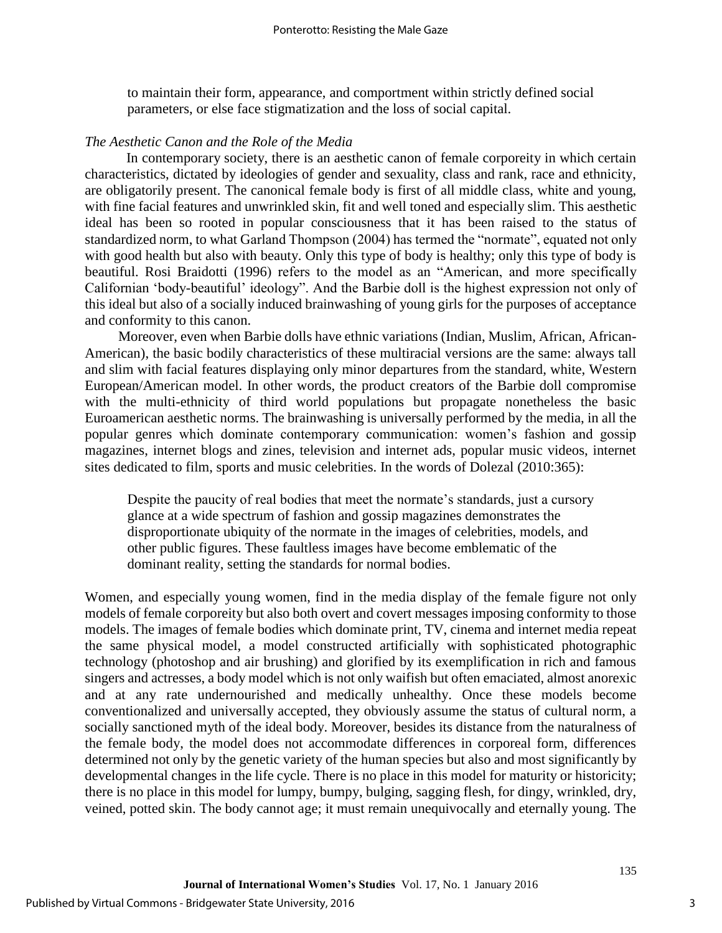to maintain their form, appearance, and comportment within strictly defined social parameters, or else face stigmatization and the loss of social capital.

### *The Aesthetic Canon and the Role of the Media*

In contemporary society, there is an aesthetic canon of female corporeity in which certain characteristics, dictated by ideologies of gender and sexuality, class and rank, race and ethnicity, are obligatorily present. The canonical female body is first of all middle class, white and young, with fine facial features and unwrinkled skin, fit and well toned and especially slim. This aesthetic ideal has been so rooted in popular consciousness that it has been raised to the status of standardized norm, to what Garland Thompson (2004) has termed the "normate", equated not only with good health but also with beauty. Only this type of body is healthy; only this type of body is beautiful. Rosi Braidotti (1996) refers to the model as an "American, and more specifically Californian 'body-beautiful' ideology". And the Barbie doll is the highest expression not only of this ideal but also of a socially induced brainwashing of young girls for the purposes of acceptance and conformity to this canon.

Moreover, even when Barbie dolls have ethnic variations (Indian, Muslim, African, African-American), the basic bodily characteristics of these multiracial versions are the same: always tall and slim with facial features displaying only minor departures from the standard, white, Western European/American model. In other words, the product creators of the Barbie doll compromise with the multi-ethnicity of third world populations but propagate nonetheless the basic Euroamerican aesthetic norms. The brainwashing is universally performed by the media, in all the popular genres which dominate contemporary communication: women's fashion and gossip magazines, internet blogs and zines, television and internet ads, popular music videos, internet sites dedicated to film, sports and music celebrities. In the words of Dolezal (2010:365):

Despite the paucity of real bodies that meet the normate's standards, just a cursory glance at a wide spectrum of fashion and gossip magazines demonstrates the disproportionate ubiquity of the normate in the images of celebrities, models, and other public figures. These faultless images have become emblematic of the dominant reality, setting the standards for normal bodies.

Women, and especially young women, find in the media display of the female figure not only models of female corporeity but also both overt and covert messages imposing conformity to those models. The images of female bodies which dominate print, TV, cinema and internet media repeat the same physical model, a model constructed artificially with sophisticated photographic technology (photoshop and air brushing) and glorified by its exemplification in rich and famous singers and actresses, a body model which is not only waifish but often emaciated, almost anorexic and at any rate undernourished and medically unhealthy. Once these models become conventionalized and universally accepted, they obviously assume the status of cultural norm, a socially sanctioned myth of the ideal body. Moreover, besides its distance from the naturalness of the female body, the model does not accommodate differences in corporeal form, differences determined not only by the genetic variety of the human species but also and most significantly by developmental changes in the life cycle. There is no place in this model for maturity or historicity; there is no place in this model for lumpy, bumpy, bulging, sagging flesh, for dingy, wrinkled, dry, veined, potted skin. The body cannot age; it must remain unequivocally and eternally young. The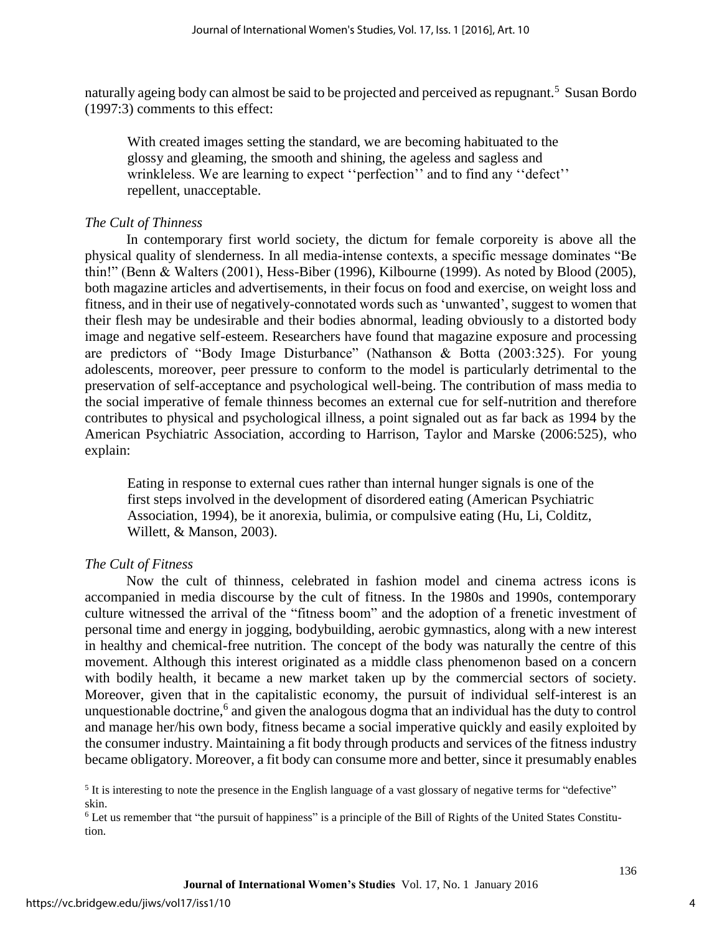naturally ageing body can almost be said to be projected and perceived as repugnant.<sup>5</sup> Susan Bordo (1997:3) comments to this effect:

With created images setting the standard, we are becoming habituated to the glossy and gleaming, the smooth and shining, the ageless and sagless and wrinkleless. We are learning to expect ''perfection'' and to find any ''defect'' repellent, unacceptable.

## *The Cult of Thinness*

In contemporary first world society, the dictum for female corporeity is above all the physical quality of slenderness. In all media-intense contexts, a specific message dominates "Be thin!" (Benn & Walters (2001), Hess-Biber (1996), Kilbourne (1999). As noted by Blood (2005), both magazine articles and advertisements, in their focus on food and exercise, on weight loss and fitness, and in their use of negatively-connotated words such as 'unwanted', suggest to women that their flesh may be undesirable and their bodies abnormal, leading obviously to a distorted body image and negative self-esteem. Researchers have found that magazine exposure and processing are predictors of "Body Image Disturbance" (Nathanson & Botta (2003:325). For young adolescents, moreover, peer pressure to conform to the model is particularly detrimental to the preservation of self-acceptance and psychological well-being. The contribution of mass media to the social imperative of female thinness becomes an external cue for self-nutrition and therefore contributes to physical and psychological illness, a point signaled out as far back as 1994 by the American Psychiatric Association, according to Harrison, Taylor and Marske (2006:525), who explain:

Eating in response to external cues rather than internal hunger signals is one of the first steps involved in the development of disordered eating (American Psychiatric Association, 1994), be it anorexia, bulimia, or compulsive eating (Hu, Li, Colditz, Willett, & Manson, 2003).

# *The Cult of Fitness*

Now the cult of thinness, celebrated in fashion model and cinema actress icons is accompanied in media discourse by the cult of fitness. In the 1980s and 1990s, contemporary culture witnessed the arrival of the "fitness boom" and the adoption of a frenetic investment of personal time and energy in jogging, bodybuilding, aerobic gymnastics, along with a new interest in healthy and chemical-free nutrition. The concept of the body was naturally the centre of this movement. Although this interest originated as a middle class phenomenon based on a concern with bodily health, it became a new market taken up by the commercial sectors of society. Moreover, given that in the capitalistic economy, the pursuit of individual self-interest is an unquestionable doctrine,<sup>6</sup> and given the analogous dogma that an individual has the duty to control and manage her/his own body, fitness became a social imperative quickly and easily exploited by the consumer industry. Maintaining a fit body through products and services of the fitness industry became obligatory. Moreover, a fit body can consume more and better, since it presumably enables

<sup>6</sup> Let us remember that "the pursuit of happiness" is a principle of the Bill of Rights of the United States Constitution.

 $<sup>5</sup>$  It is interesting to note the presence in the English language of a vast glossary of negative terms for "defective"</sup> skin.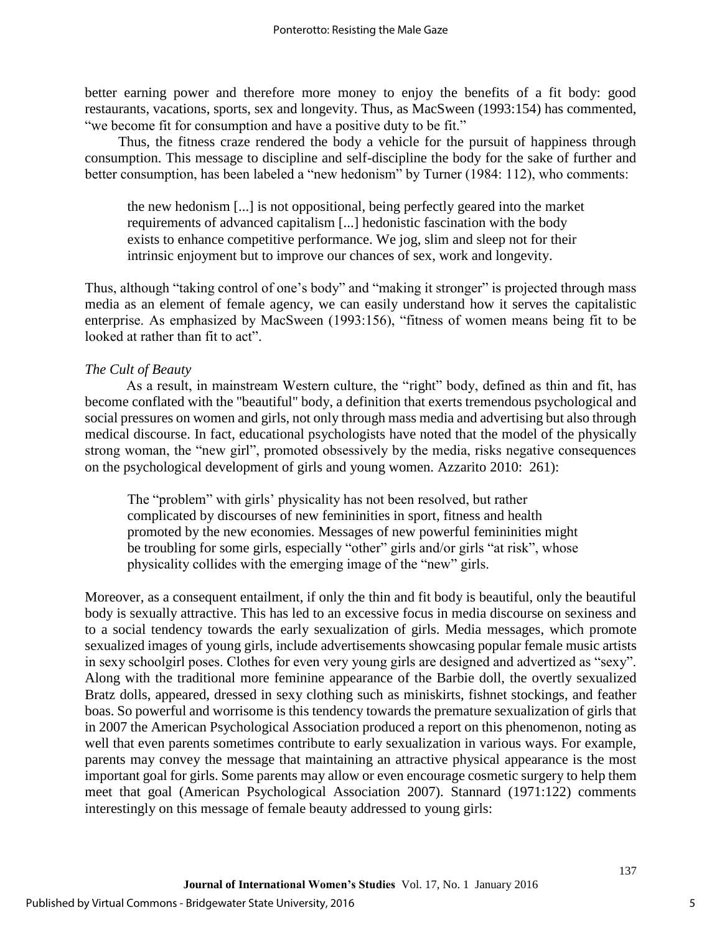better earning power and therefore more money to enjoy the benefits of a fit body: good restaurants, vacations, sports, sex and longevity. Thus, as MacSween (1993:154) has commented, "we become fit for consumption and have a positive duty to be fit."

Thus, the fitness craze rendered the body a vehicle for the pursuit of happiness through consumption. This message to discipline and self-discipline the body for the sake of further and better consumption, has been labeled a "new hedonism" by Turner (1984: 112), who comments:

the new hedonism [...] is not oppositional, being perfectly geared into the market requirements of advanced capitalism [...] hedonistic fascination with the body exists to enhance competitive performance. We jog, slim and sleep not for their intrinsic enjoyment but to improve our chances of sex, work and longevity.

Thus, although "taking control of one's body" and "making it stronger" is projected through mass media as an element of female agency, we can easily understand how it serves the capitalistic enterprise. As emphasized by MacSween (1993:156), "fitness of women means being fit to be looked at rather than fit to act".

# *The Cult of Beauty*

As a result, in mainstream Western culture, the "right" body, defined as thin and fit, has become conflated with the "beautiful" body, a definition that exerts tremendous psychological and social pressures on women and girls, not only through mass media and advertising but also through medical discourse. In fact, educational psychologists have noted that the model of the physically strong woman, the "new girl", promoted obsessively by the media, risks negative consequences on the psychological development of girls and young women. Azzarito 2010: 261):

The "problem" with girls' physicality has not been resolved, but rather complicated by discourses of new femininities in sport, fitness and health promoted by the new economies. Messages of new powerful femininities might be troubling for some girls, especially "other" girls and/or girls "at risk", whose physicality collides with the emerging image of the "new" girls.

Moreover, as a consequent entailment, if only the thin and fit body is beautiful, only the beautiful body is sexually attractive. This has led to an excessive focus in media discourse on sexiness and to a social tendency towards the early sexualization of girls. Media messages, which promote sexualized images of young girls, include advertisements showcasing popular female music artists in sexy schoolgirl poses. Clothes for even very young girls are designed and advertized as "sexy". Along with the traditional more feminine appearance of the Barbie doll, the overtly sexualized Bratz dolls, appeared, dressed in sexy clothing such as miniskirts, fishnet stockings, and feather boas. So powerful and worrisome is this tendency towards the premature sexualization of girls that in 2007 the American Psychological Association produced a report on this phenomenon, noting as well that even parents sometimes contribute to early sexualization in various ways. For example, parents may convey the message that maintaining an attractive physical appearance is the most important goal for girls. Some parents may allow or even encourage cosmetic surgery to help them meet that goal (American Psychological Association 2007). Stannard (1971:122) comments interestingly on this message of female beauty addressed to young girls: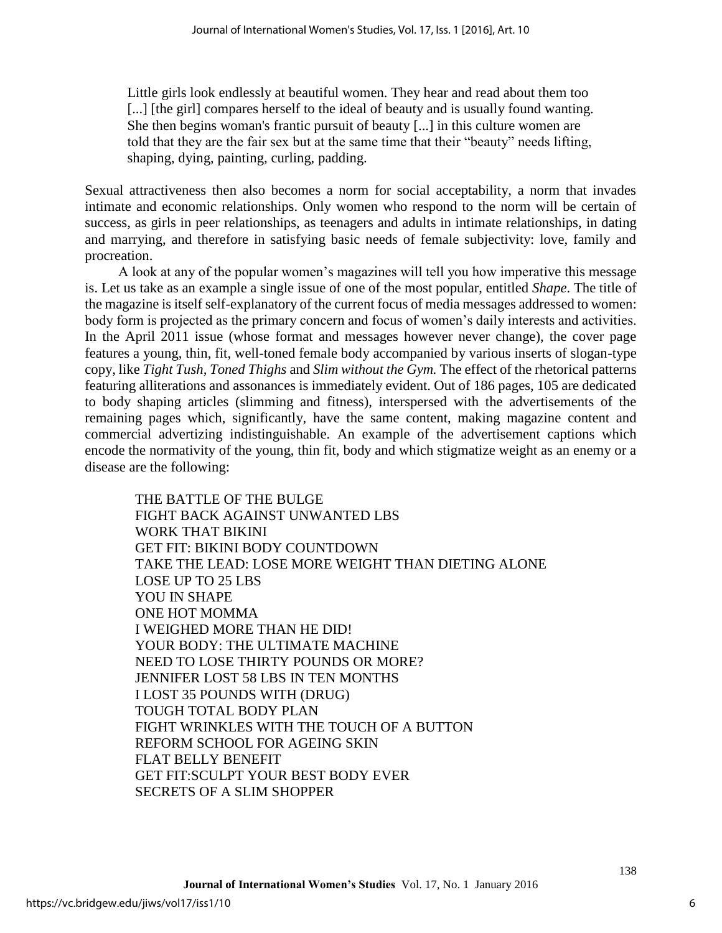Little girls look endlessly at beautiful women. They hear and read about them too [...] [the girl] compares herself to the ideal of beauty and is usually found wanting. She then begins woman's frantic pursuit of beauty [...] in this culture women are told that they are the fair sex but at the same time that their "beauty" needs lifting, shaping, dying, painting, curling, padding.

Sexual attractiveness then also becomes a norm for social acceptability, a norm that invades intimate and economic relationships. Only women who respond to the norm will be certain of success, as girls in peer relationships, as teenagers and adults in intimate relationships, in dating and marrying, and therefore in satisfying basic needs of female subjectivity: love, family and procreation.

A look at any of the popular women's magazines will tell you how imperative this message is. Let us take as an example a single issue of one of the most popular, entitled *Shape*. The title of the magazine is itself self-explanatory of the current focus of media messages addressed to women: body form is projected as the primary concern and focus of women's daily interests and activities. In the April 2011 issue (whose format and messages however never change), the cover page features a young, thin, fit, well-toned female body accompanied by various inserts of slogan-type copy, like *Tight Tush, Toned Thighs* and *Slim without the Gym.* The effect of the rhetorical patterns featuring alliterations and assonances is immediately evident. Out of 186 pages, 105 are dedicated to body shaping articles (slimming and fitness), interspersed with the advertisements of the remaining pages which, significantly, have the same content, making magazine content and commercial advertizing indistinguishable. An example of the advertisement captions which encode the normativity of the young, thin fit, body and which stigmatize weight as an enemy or a disease are the following:

THE BATTLE OF THE BULGE FIGHT BACK AGAINST UNWANTED LBS WORK THAT BIKINI GET FIT: BIKINI BODY COUNTDOWN TAKE THE LEAD: LOSE MORE WEIGHT THAN DIETING ALONE LOSE UP TO 25 LBS YOU IN SHAPE ONE HOT MOMMA I WEIGHED MORE THAN HE DID! YOUR BODY: THE ULTIMATE MACHINE NEED TO LOSE THIRTY POUNDS OR MORE? JENNIFER LOST 58 LBS IN TEN MONTHS I LOST 35 POUNDS WITH (DRUG) TOUGH TOTAL BODY PLAN FIGHT WRINKLES WITH THE TOUCH OF A BUTTON REFORM SCHOOL FOR AGEING SKIN FLAT BELLY BENEFIT GET FIT:SCULPT YOUR BEST BODY EVER SECRETS OF A SLIM SHOPPER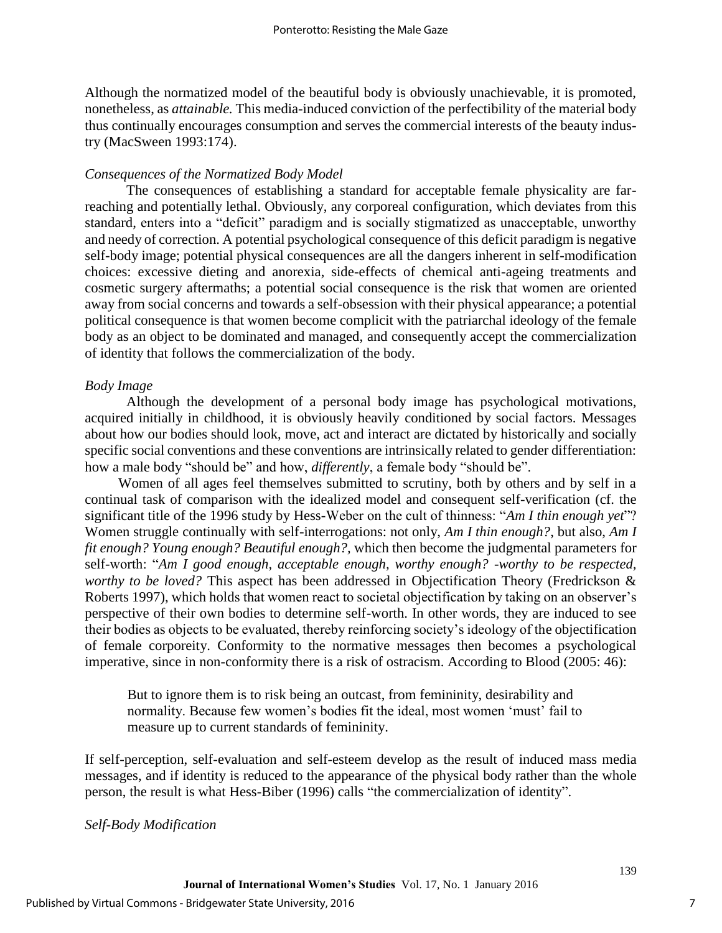Although the normatized model of the beautiful body is obviously unachievable, it is promoted, nonetheless, as *attainable.* This media-induced conviction of the perfectibility of the material body thus continually encourages consumption and serves the commercial interests of the beauty industry (MacSween 1993:174).

# *Consequences of the Normatized Body Model*

The consequences of establishing a standard for acceptable female physicality are farreaching and potentially lethal. Obviously, any corporeal configuration, which deviates from this standard, enters into a "deficit" paradigm and is socially stigmatized as unacceptable, unworthy and needy of correction. A potential psychological consequence of this deficit paradigm is negative self-body image; potential physical consequences are all the dangers inherent in self-modification choices: excessive dieting and anorexia, side-effects of chemical anti-ageing treatments and cosmetic surgery aftermaths; a potential social consequence is the risk that women are oriented away from social concerns and towards a self-obsession with their physical appearance; a potential political consequence is that women become complicit with the patriarchal ideology of the female body as an object to be dominated and managed, and consequently accept the commercialization of identity that follows the commercialization of the body.

# *Body Image*

Although the development of a personal body image has psychological motivations, acquired initially in childhood, it is obviously heavily conditioned by social factors. Messages about how our bodies should look, move, act and interact are dictated by historically and socially specific social conventions and these conventions are intrinsically related to gender differentiation: how a male body "should be" and how, *differently*, a female body "should be".

Women of all ages feel themselves submitted to scrutiny, both by others and by self in a continual task of comparison with the idealized model and consequent self-verification (cf. the significant title of the 1996 study by Hess-Weber on the cult of thinness: "*Am I thin enough yet*"? Women struggle continually with self-interrogations: not only, *Am I thin enough?*, but also, *Am I fit enough? Young enough? Beautiful enough?,* which then become the judgmental parameters for self-worth: "*Am I good enough, acceptable enough, worthy enough? -worthy to be respected, worthy to be loved?* This aspect has been addressed in Objectification Theory (Fredrickson & Roberts 1997), which holds that women react to societal objectification by taking on an observer's perspective of their own bodies to determine self-worth. In other words, they are induced to see their bodies as objects to be evaluated, thereby reinforcing society's ideology of the objectification of female corporeity. Conformity to the normative messages then becomes a psychological imperative, since in non-conformity there is a risk of ostracism. According to Blood (2005: 46):

But to ignore them is to risk being an outcast, from femininity, desirability and normality. Because few women's bodies fit the ideal, most women 'must' fail to measure up to current standards of femininity.

If self-perception, self-evaluation and self-esteem develop as the result of induced mass media messages, and if identity is reduced to the appearance of the physical body rather than the whole person, the result is what Hess-Biber (1996) calls "the commercialization of identity".

# *Self-Body Modification*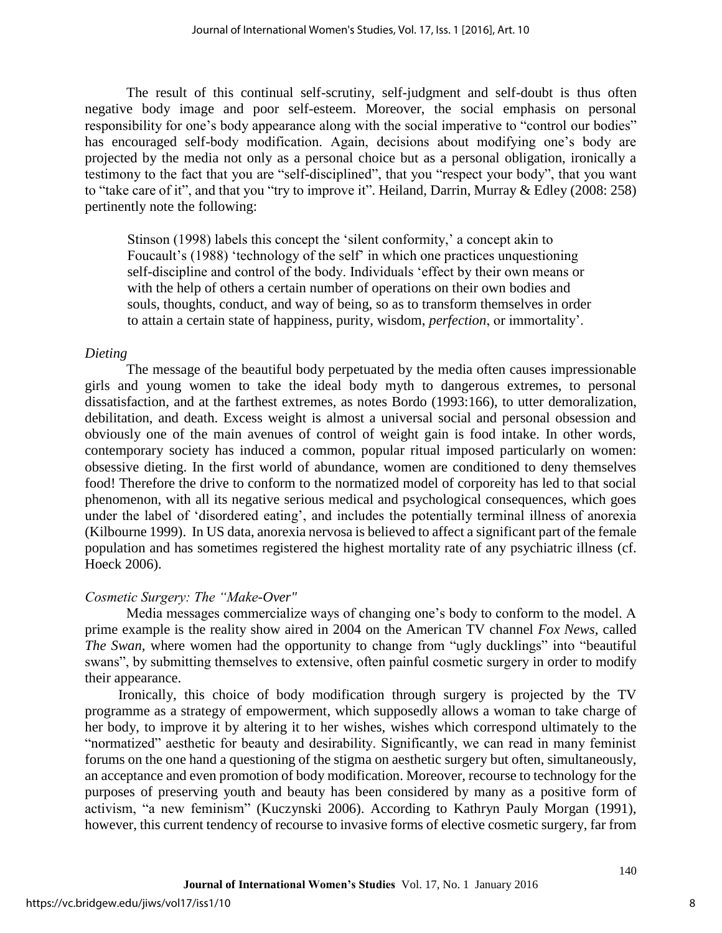The result of this continual self-scrutiny, self-judgment and self-doubt is thus often negative body image and poor self-esteem. Moreover, the social emphasis on personal responsibility for one's body appearance along with the social imperative to "control our bodies" has encouraged self-body modification. Again, decisions about modifying one's body are projected by the media not only as a personal choice but as a personal obligation, ironically a testimony to the fact that you are "self-disciplined", that you "respect your body", that you want to "take care of it", and that you "try to improve it". Heiland, Darrin, Murray & Edley (2008: 258) pertinently note the following:

Stinson (1998) labels this concept the 'silent conformity,' a concept akin to Foucault's (1988) 'technology of the self' in which one practices unquestioning self-discipline and control of the body. Individuals 'effect by their own means or with the help of others a certain number of operations on their own bodies and souls, thoughts, conduct, and way of being, so as to transform themselves in order to attain a certain state of happiness, purity, wisdom, *perfection*, or immortality'.

# *Dieting*

The message of the beautiful body perpetuated by the media often causes impressionable girls and young women to take the ideal body myth to dangerous extremes, to personal dissatisfaction, and at the farthest extremes, as notes Bordo (1993:166), to utter demoralization, debilitation, and death. Excess weight is almost a universal social and personal obsession and obviously one of the main avenues of control of weight gain is food intake. In other words, contemporary society has induced a common, popular ritual imposed particularly on women: obsessive dieting. In the first world of abundance, women are conditioned to deny themselves food! Therefore the drive to conform to the normatized model of corporeity has led to that social phenomenon, with all its negative serious medical and psychological consequences, which goes under the label of 'disordered eating', and includes the potentially terminal illness of anorexia (Kilbourne 1999). In US data, anorexia nervosa is believed to affect a significant part of the female population and has sometimes registered the highest mortality rate of any psychiatric illness (cf. Hoeck 2006).

# *Cosmetic Surgery: The "Make-Over"*

Media messages commercialize ways of changing one's body to conform to the model. A prime example is the reality show aired in 2004 on the American TV channel *Fox News*, called *The Swan,* where women had the opportunity to change from "ugly ducklings" into "beautiful swans", by submitting themselves to extensive, often painful cosmetic surgery in order to modify their appearance.

Ironically, this choice of body modification through surgery is projected by the TV programme as a strategy of empowerment, which supposedly allows a woman to take charge of her body, to improve it by altering it to her wishes, wishes which correspond ultimately to the "normatized" aesthetic for beauty and desirability. Significantly, we can read in many feminist forums on the one hand a questioning of the stigma on aesthetic surgery but often, simultaneously, an acceptance and even promotion of body modification. Moreover, recourse to technology for the purposes of preserving youth and beauty has been considered by many as a positive form of activism, "a new feminism" (Kuczynski 2006). According to Kathryn Pauly Morgan (1991), however, this current tendency of recourse to invasive forms of elective cosmetic surgery, far from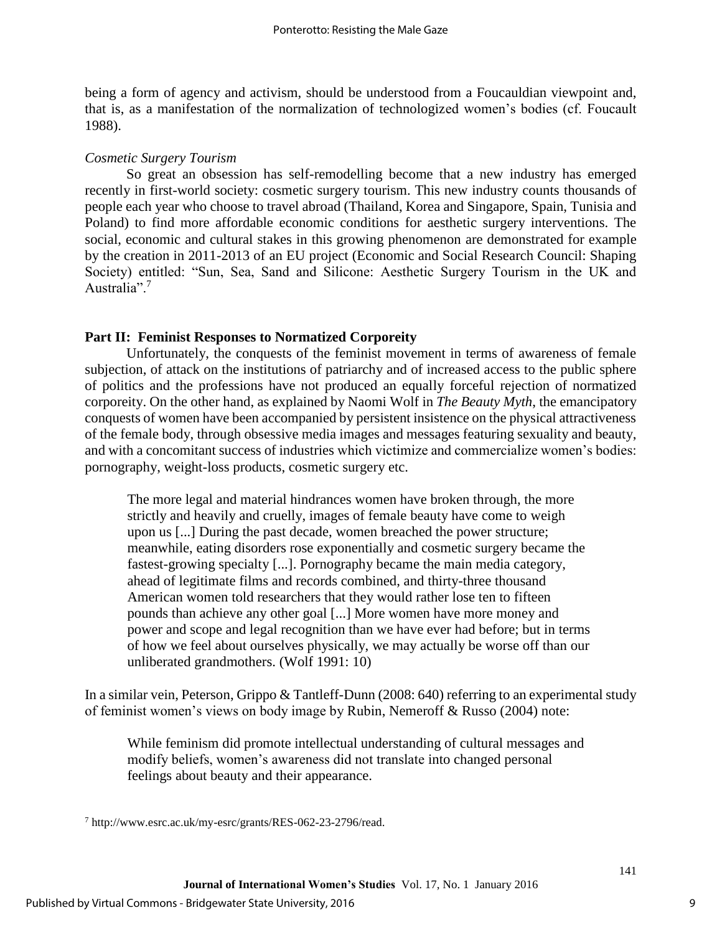being a form of agency and activism, should be understood from a Foucauldian viewpoint and, that is, as a manifestation of the normalization of technologized women's bodies (cf. Foucault 1988).

## *Cosmetic Surgery Tourism*

So great an obsession has self-remodelling become that a new industry has emerged recently in first-world society: cosmetic surgery tourism. This new industry counts thousands of people each year who choose to travel abroad (Thailand, Korea and Singapore, Spain, Tunisia and Poland) to find more affordable economic conditions for aesthetic surgery interventions. The social, economic and cultural stakes in this growing phenomenon are demonstrated for example by the creation in 2011-2013 of an EU project (Economic and Social Research Council: Shaping Society) entitled: "Sun, Sea, Sand and Silicone: Aesthetic Surgery Tourism in the UK and Australia".<sup>7</sup>

# **Part II: Feminist Responses to Normatized Corporeity**

 Unfortunately, the conquests of the feminist movement in terms of awareness of female subjection, of attack on the institutions of patriarchy and of increased access to the public sphere of politics and the professions have not produced an equally forceful rejection of normatized corporeity. On the other hand, as explained by Naomi Wolf in *The Beauty Myth*, the emancipatory conquests of women have been accompanied by persistent insistence on the physical attractiveness of the female body, through obsessive media images and messages featuring sexuality and beauty, and with a concomitant success of industries which victimize and commercialize women's bodies: pornography, weight-loss products, cosmetic surgery etc.

The more legal and material hindrances women have broken through, the more strictly and heavily and cruelly, images of female beauty have come to weigh upon us [...] During the past decade, women breached the power structure; meanwhile, eating disorders rose exponentially and cosmetic surgery became the fastest-growing specialty [...]. Pornography became the main media category, ahead of legitimate films and records combined, and thirty-three thousand American women told researchers that they would rather lose ten to fifteen pounds than achieve any other goal [...] More women have more money and power and scope and legal recognition than we have ever had before; but in terms of how we feel about ourselves physically, we may actually be worse off than our unliberated grandmothers. (Wolf 1991: 10)

In a similar vein, Peterson, Grippo & Tantleff-Dunn (2008: 640) referring to an experimental study of feminist women's views on body image by Rubin, Nemeroff & Russo (2004) note:

While feminism did promote intellectual understanding of cultural messages and modify beliefs, women's awareness did not translate into changed personal feelings about beauty and their appearance.

<sup>7</sup> http://www.esrc.ac.uk/my-esrc/grants/RES-062-23-2796/read.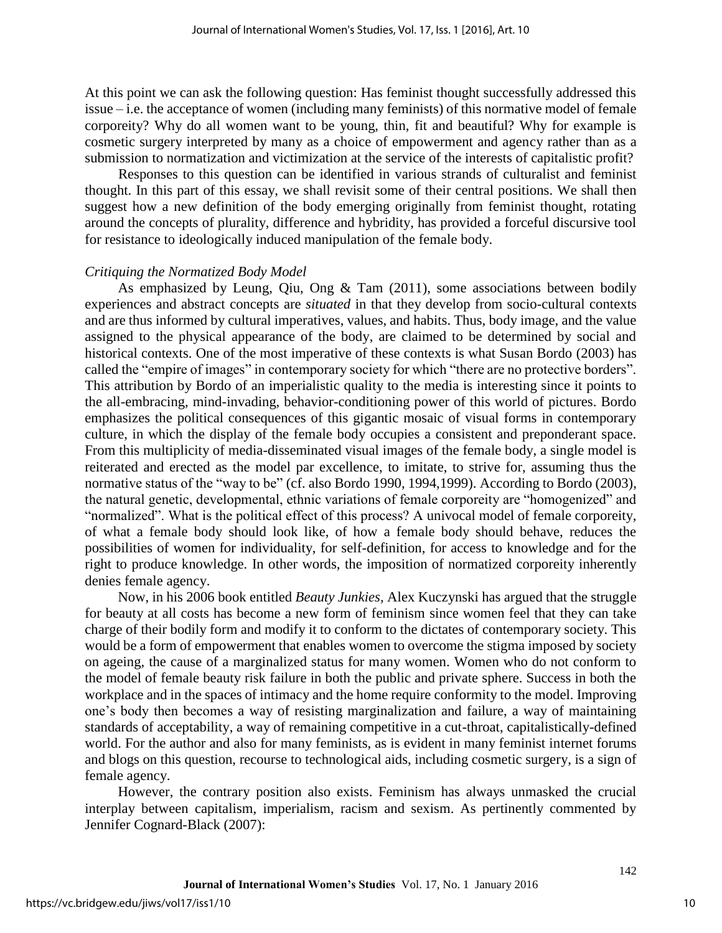At this point we can ask the following question: Has feminist thought successfully addressed this issue – i.e. the acceptance of women (including many feminists) of this normative model of female corporeity? Why do all women want to be young, thin, fit and beautiful? Why for example is cosmetic surgery interpreted by many as a choice of empowerment and agency rather than as a submission to normatization and victimization at the service of the interests of capitalistic profit?

Responses to this question can be identified in various strands of culturalist and feminist thought. In this part of this essay, we shall revisit some of their central positions. We shall then suggest how a new definition of the body emerging originally from feminist thought, rotating around the concepts of plurality, difference and hybridity, has provided a forceful discursive tool for resistance to ideologically induced manipulation of the female body.

# *Critiquing the Normatized Body Model*

As emphasized by Leung, Qiu, Ong & Tam (2011), some associations between bodily experiences and abstract concepts are *situated* in that they develop from socio-cultural contexts and are thus informed by cultural imperatives, values, and habits. Thus, body image, and the value assigned to the physical appearance of the body, are claimed to be determined by social and historical contexts. One of the most imperative of these contexts is what Susan Bordo (2003) has called the "empire of images" in contemporary society for which "there are no protective borders". This attribution by Bordo of an imperialistic quality to the media is interesting since it points to the all-embracing, mind-invading, behavior-conditioning power of this world of pictures. Bordo emphasizes the political consequences of this gigantic mosaic of visual forms in contemporary culture, in which the display of the female body occupies a consistent and preponderant space. From this multiplicity of media-disseminated visual images of the female body, a single model is reiterated and erected as the model par excellence, to imitate, to strive for, assuming thus the normative status of the "way to be" (cf. also Bordo 1990, 1994,1999). According to Bordo (2003), the natural genetic, developmental, ethnic variations of female corporeity are "homogenized" and "normalized". What is the political effect of this process? A univocal model of female corporeity, of what a female body should look like, of how a female body should behave, reduces the possibilities of women for individuality, for self-definition, for access to knowledge and for the right to produce knowledge. In other words, the imposition of normatized corporeity inherently denies female agency.

Now, in his 2006 book entitled *Beauty Junkies,* Alex Kuczynski has argued that the struggle for beauty at all costs has become a new form of feminism since women feel that they can take charge of their bodily form and modify it to conform to the dictates of contemporary society. This would be a form of empowerment that enables women to overcome the stigma imposed by society on ageing, the cause of a marginalized status for many women. Women who do not conform to the model of female beauty risk failure in both the public and private sphere. Success in both the workplace and in the spaces of intimacy and the home require conformity to the model. Improving one's body then becomes a way of resisting marginalization and failure, a way of maintaining standards of acceptability, a way of remaining competitive in a cut-throat, capitalistically-defined world. For the author and also for many feminists, as is evident in many feminist internet forums and blogs on this question, recourse to technological aids, including cosmetic surgery, is a sign of female agency.

However, the contrary position also exists. Feminism has always unmasked the crucial interplay between capitalism, imperialism, racism and sexism. As pertinently commented by Jennifer Cognard-Black (2007):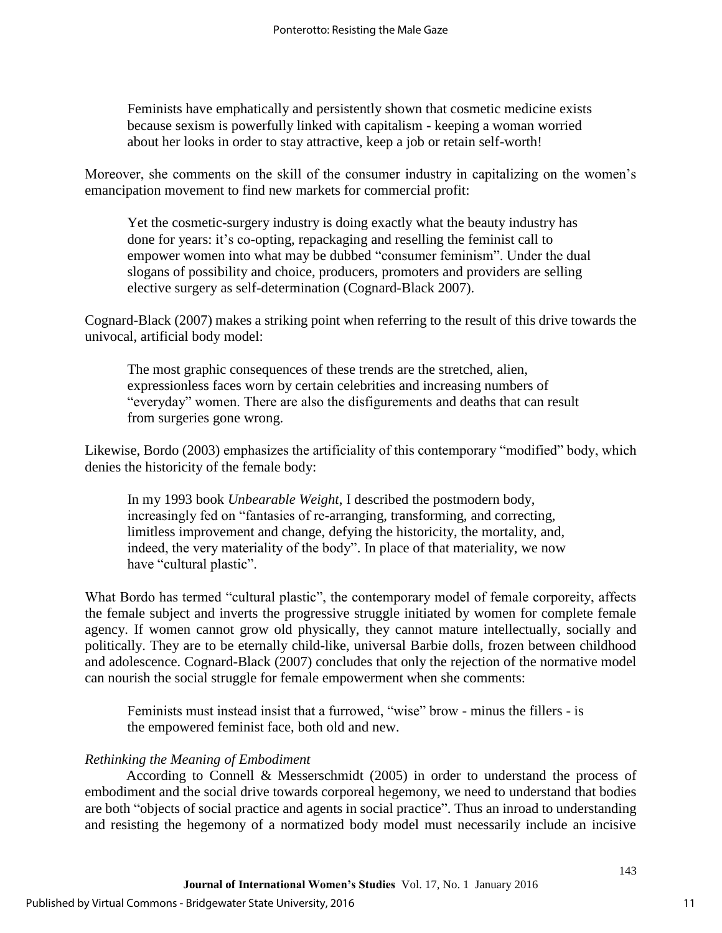Feminists have emphatically and persistently shown that cosmetic medicine exists because sexism is powerfully linked with capitalism - keeping a woman worried about her looks in order to stay attractive, keep a job or retain self-worth!

Moreover, she comments on the skill of the consumer industry in capitalizing on the women's emancipation movement to find new markets for commercial profit:

Yet the cosmetic-surgery industry is doing exactly what the beauty industry has done for years: it's co-opting, repackaging and reselling the feminist call to empower women into what may be dubbed "consumer feminism". Under the dual slogans of possibility and choice, producers, promoters and providers are selling elective surgery as self-determination (Cognard-Black 2007).

Cognard-Black (2007) makes a striking point when referring to the result of this drive towards the univocal, artificial body model:

The most graphic consequences of these trends are the stretched, alien, expressionless faces worn by certain celebrities and increasing numbers of "everyday" women. There are also the disfigurements and deaths that can result from surgeries gone wrong.

Likewise, Bordo (2003) emphasizes the artificiality of this contemporary "modified" body, which denies the historicity of the female body:

In my 1993 book *Unbearable Weight*, I described the postmodern body, increasingly fed on "fantasies of re-arranging, transforming, and correcting, limitless improvement and change, defying the historicity, the mortality, and, indeed, the very materiality of the body". In place of that materiality, we now have "cultural plastic".

What Bordo has termed "cultural plastic", the contemporary model of female corporeity, affects the female subject and inverts the progressive struggle initiated by women for complete female agency. If women cannot grow old physically, they cannot mature intellectually, socially and politically. They are to be eternally child-like, universal Barbie dolls, frozen between childhood and adolescence. Cognard-Black (2007) concludes that only the rejection of the normative model can nourish the social struggle for female empowerment when she comments:

Feminists must instead insist that a furrowed, "wise" brow - minus the fillers - is the empowered feminist face, both old and new.

# *Rethinking the Meaning of Embodiment*

According to Connell & Messerschmidt (2005) in order to understand the process of embodiment and the social drive towards corporeal hegemony, we need to understand that bodies are both "objects of social practice and agents in social practice". Thus an inroad to understanding and resisting the hegemony of a normatized body model must necessarily include an incisive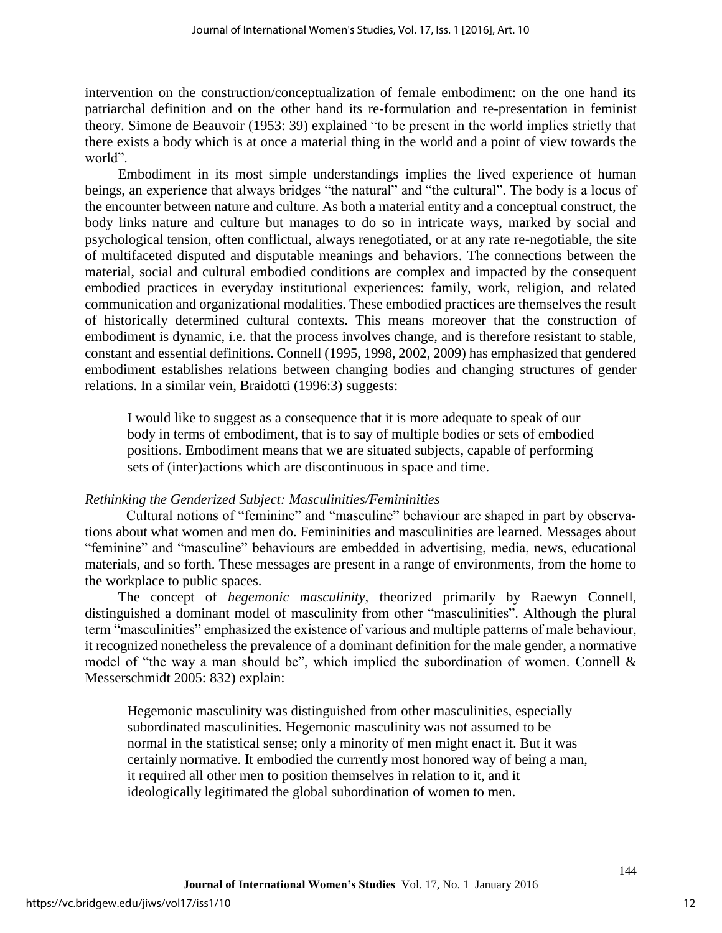intervention on the construction/conceptualization of female embodiment: on the one hand its patriarchal definition and on the other hand its re-formulation and re-presentation in feminist theory. Simone de Beauvoir (1953: 39) explained "to be present in the world implies strictly that there exists a body which is at once a material thing in the world and a point of view towards the world".

Embodiment in its most simple understandings implies the lived experience of human beings, an experience that always bridges "the natural" and "the cultural". The body is a locus of the encounter between nature and culture. As both a material entity and a conceptual construct, the body links nature and culture but manages to do so in intricate ways, marked by social and psychological tension, often conflictual, always renegotiated, or at any rate re-negotiable, the site of multifaceted disputed and disputable meanings and behaviors. The connections between the material, social and cultural embodied conditions are complex and impacted by the consequent embodied practices in everyday institutional experiences: family, work, religion, and related communication and organizational modalities. These embodied practices are themselves the result of historically determined cultural contexts. This means moreover that the construction of embodiment is dynamic, i.e. that the process involves change, and is therefore resistant to stable, constant and essential definitions. Connell (1995, 1998, 2002, 2009) has emphasized that gendered embodiment establishes relations between changing bodies and changing structures of gender relations. In a similar vein, Braidotti (1996:3) suggests:

I would like to suggest as a consequence that it is more adequate to speak of our body in terms of embodiment, that is to say of multiple bodies or sets of embodied positions. Embodiment means that we are situated subjects, capable of performing sets of (inter)actions which are discontinuous in space and time.

# *Rethinking the Genderized Subject: Masculinities/Femininities*

Cultural notions of "feminine" and "masculine" behaviour are shaped in part by observations about what women and men do. Femininities and masculinities are learned. Messages about "feminine" and "masculine" behaviours are embedded in advertising, media, news, educational materials, and so forth. These messages are present in a range of environments, from the home to the workplace to public spaces.

The concept of *hegemonic masculinity,* theorized primarily by Raewyn Connell, distinguished a dominant model of masculinity from other "masculinities". Although the plural term "masculinities" emphasized the existence of various and multiple patterns of male behaviour, it recognized nonetheless the prevalence of a dominant definition for the male gender, a normative model of "the way a man should be", which implied the subordination of women. Connell & Messerschmidt 2005: 832) explain:

Hegemonic masculinity was distinguished from other masculinities, especially subordinated masculinities. Hegemonic masculinity was not assumed to be normal in the statistical sense; only a minority of men might enact it. But it was certainly normative. It embodied the currently most honored way of being a man, it required all other men to position themselves in relation to it, and it ideologically legitimated the global subordination of women to men.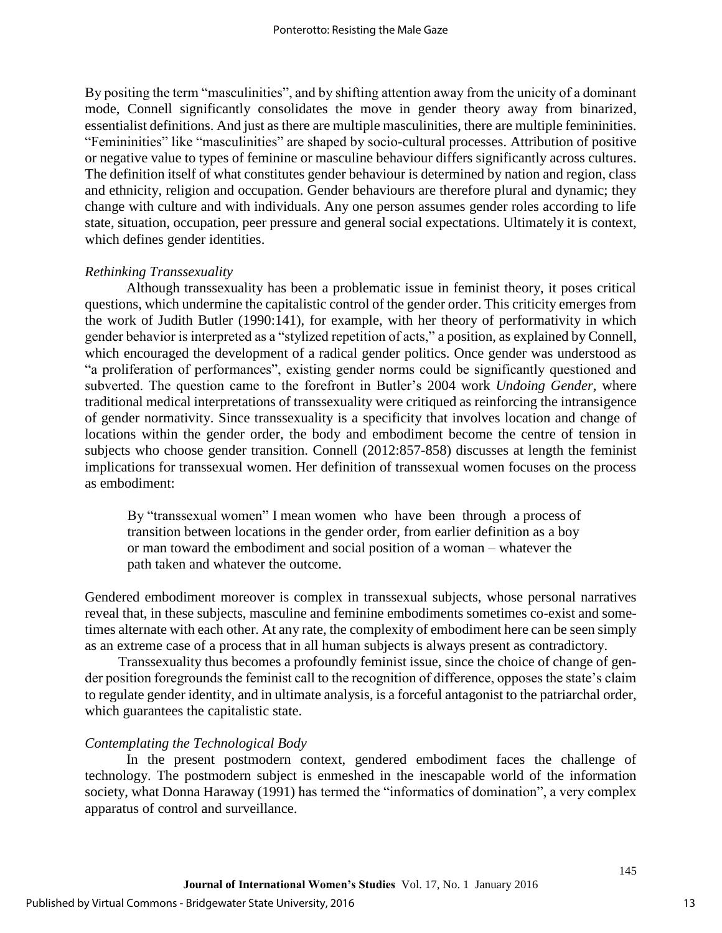By positing the term "masculinities", and by shifting attention away from the unicity of a dominant mode, Connell significantly consolidates the move in gender theory away from binarized, essentialist definitions. And just as there are multiple masculinities, there are multiple femininities. "Femininities" like "masculinities" are shaped by socio-cultural processes. Attribution of positive or negative value to types of feminine or masculine behaviour differs significantly across cultures. The definition itself of what constitutes gender behaviour is determined by nation and region, class and ethnicity, religion and occupation. Gender behaviours are therefore plural and dynamic; they change with culture and with individuals. Any one person assumes gender roles according to life state, situation, occupation, peer pressure and general social expectations. Ultimately it is context, which defines gender identities.

#### *Rethinking Transsexuality*

Although transsexuality has been a problematic issue in feminist theory, it poses critical questions, which undermine the capitalistic control of the gender order. This criticity emerges from the work of Judith Butler (1990:141), for example, with her theory of performativity in which gender behavior is interpreted as a "stylized repetition of acts," a position, as explained by Connell, which encouraged the development of a radical gender politics. Once gender was understood as "a proliferation of performances", existing gender norms could be significantly questioned and subverted. The question came to the forefront in Butler's 2004 work *Undoing Gender,* where traditional medical interpretations of transsexuality were critiqued as reinforcing the intransigence of gender normativity. Since transsexuality is a specificity that involves location and change of locations within the gender order, the body and embodiment become the centre of tension in subjects who choose gender transition. Connell (2012:857-858) discusses at length the feminist implications for transsexual women. Her definition of transsexual women focuses on the process as embodiment:

By "transsexual women" I mean women who have been through a process of transition between locations in the gender order, from earlier definition as a boy or man toward the embodiment and social position of a woman – whatever the path taken and whatever the outcome.

Gendered embodiment moreover is complex in transsexual subjects, whose personal narratives reveal that, in these subjects, masculine and feminine embodiments sometimes co-exist and sometimes alternate with each other. At any rate, the complexity of embodiment here can be seen simply as an extreme case of a process that in all human subjects is always present as contradictory.

Transsexuality thus becomes a profoundly feminist issue, since the choice of change of gender position foregrounds the feminist call to the recognition of difference, opposes the state's claim to regulate gender identity, and in ultimate analysis, is a forceful antagonist to the patriarchal order, which guarantees the capitalistic state.

#### *Contemplating the Technological Body*

In the present postmodern context, gendered embodiment faces the challenge of technology. The postmodern subject is enmeshed in the inescapable world of the information society, what Donna Haraway (1991) has termed the "informatics of domination", a very complex apparatus of control and surveillance.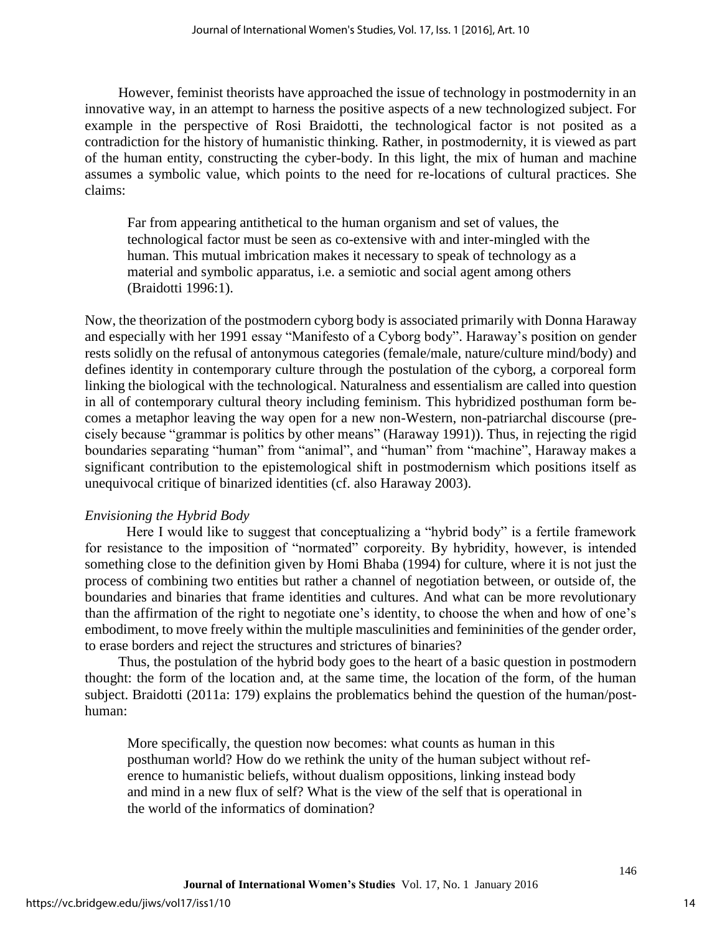However, feminist theorists have approached the issue of technology in postmodernity in an innovative way, in an attempt to harness the positive aspects of a new technologized subject. For example in the perspective of Rosi Braidotti, the technological factor is not posited as a contradiction for the history of humanistic thinking. Rather, in postmodernity, it is viewed as part of the human entity, constructing the cyber-body. In this light, the mix of human and machine assumes a symbolic value, which points to the need for re-locations of cultural practices. She claims:

Far from appearing antithetical to the human organism and set of values, the technological factor must be seen as co-extensive with and inter-mingled with the human. This mutual imbrication makes it necessary to speak of technology as a material and symbolic apparatus, i.e. a semiotic and social agent among others (Braidotti 1996:1).

Now, the theorization of the postmodern cyborg body is associated primarily with Donna Haraway and especially with her 1991 essay "Manifesto of a Cyborg body". Haraway's position on gender rests solidly on the refusal of antonymous categories (female/male, nature/culture mind/body) and defines identity in contemporary culture through the postulation of the cyborg, a corporeal form linking the biological with the technological. Naturalness and essentialism are called into question in all of contemporary cultural theory including feminism. This hybridized posthuman form becomes a metaphor leaving the way open for a new non-Western, non-patriarchal discourse (precisely because "grammar is politics by other means" (Haraway 1991)). Thus, in rejecting the rigid boundaries separating "human" from "animal", and "human" from "machine", Haraway makes a significant contribution to the epistemological shift in postmodernism which positions itself as unequivocal critique of binarized identities (cf. also Haraway 2003).

# *Envisioning the Hybrid Body*

Here I would like to suggest that conceptualizing a "hybrid body" is a fertile framework for resistance to the imposition of "normated" corporeity. By hybridity, however, is intended something close to the definition given by Homi Bhaba (1994) for culture, where it is not just the process of combining two entities but rather a channel of negotiation between, or outside of, the boundaries and binaries that frame identities and cultures. And what can be more revolutionary than the affirmation of the right to negotiate one's identity, to choose the when and how of one's embodiment, to move freely within the multiple masculinities and femininities of the gender order, to erase borders and reject the structures and strictures of binaries?

Thus, the postulation of the hybrid body goes to the heart of a basic question in postmodern thought: the form of the location and, at the same time, the location of the form, of the human subject. Braidotti (2011a: 179) explains the problematics behind the question of the human/posthuman:

More specifically, the question now becomes: what counts as human in this posthuman world? How do we rethink the unity of the human subject without reference to humanistic beliefs, without dualism oppositions, linking instead body and mind in a new flux of self? What is the view of the self that is operational in the world of the informatics of domination?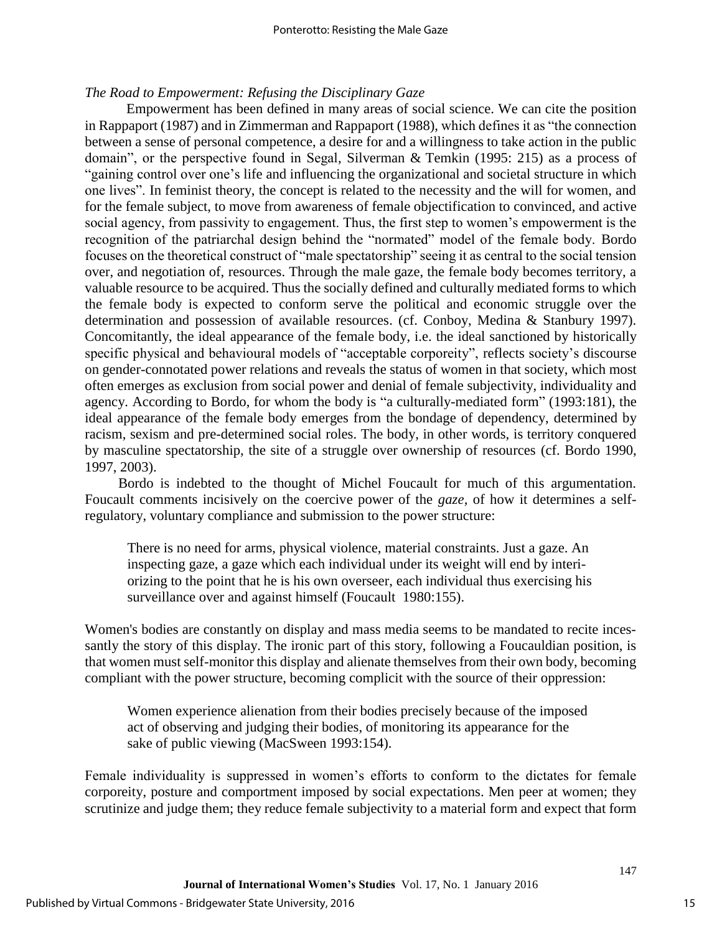# *The Road to Empowerment: Refusing the Disciplinary Gaze*

Empowerment has been defined in many areas of social science. We can cite the position in Rappaport (1987) and in Zimmerman and Rappaport (1988), which defines it as "the connection between a sense of personal competence, a desire for and a willingness to take action in the public domain", or the perspective found in Segal, Silverman & Temkin (1995: 215) as a process of "gaining control over one's life and influencing the organizational and societal structure in which one lives". In feminist theory, the concept is related to the necessity and the will for women, and for the female subject, to move from awareness of female objectification to convinced, and active social agency, from passivity to engagement. Thus, the first step to women's empowerment is the recognition of the patriarchal design behind the "normated" model of the female body. Bordo focuses on the theoretical construct of "male spectatorship" seeing it as central to the social tension over, and negotiation of, resources. Through the male gaze, the female body becomes territory, a valuable resource to be acquired. Thus the socially defined and culturally mediated forms to which the female body is expected to conform serve the political and economic struggle over the determination and possession of available resources. (cf. Conboy, Medina & Stanbury 1997). Concomitantly, the ideal appearance of the female body, i.e. the ideal sanctioned by historically specific physical and behavioural models of "acceptable corporeity", reflects society's discourse on gender-connotated power relations and reveals the status of women in that society, which most often emerges as exclusion from social power and denial of female subjectivity, individuality and agency. According to Bordo, for whom the body is "a culturally-mediated form" (1993:181), the ideal appearance of the female body emerges from the bondage of dependency, determined by racism, sexism and pre-determined social roles. The body, in other words, is territory conquered by masculine spectatorship, the site of a struggle over ownership of resources (cf. Bordo 1990, 1997, 2003).

Bordo is indebted to the thought of Michel Foucault for much of this argumentation. Foucault comments incisively on the coercive power of the *gaze,* of how it determines a selfregulatory, voluntary compliance and submission to the power structure:

There is no need for arms, physical violence, material constraints. Just a gaze. An inspecting gaze, a gaze which each individual under its weight will end by interiorizing to the point that he is his own overseer, each individual thus exercising his surveillance over and against himself (Foucault 1980:155).

Women's bodies are constantly on display and mass media seems to be mandated to recite incessantly the story of this display. The ironic part of this story, following a Foucauldian position, is that women must self-monitor this display and alienate themselves from their own body, becoming compliant with the power structure, becoming complicit with the source of their oppression:

Women experience alienation from their bodies precisely because of the imposed act of observing and judging their bodies, of monitoring its appearance for the sake of public viewing (MacSween 1993:154).

Female individuality is suppressed in women's efforts to conform to the dictates for female corporeity, posture and comportment imposed by social expectations. Men peer at women; they scrutinize and judge them; they reduce female subjectivity to a material form and expect that form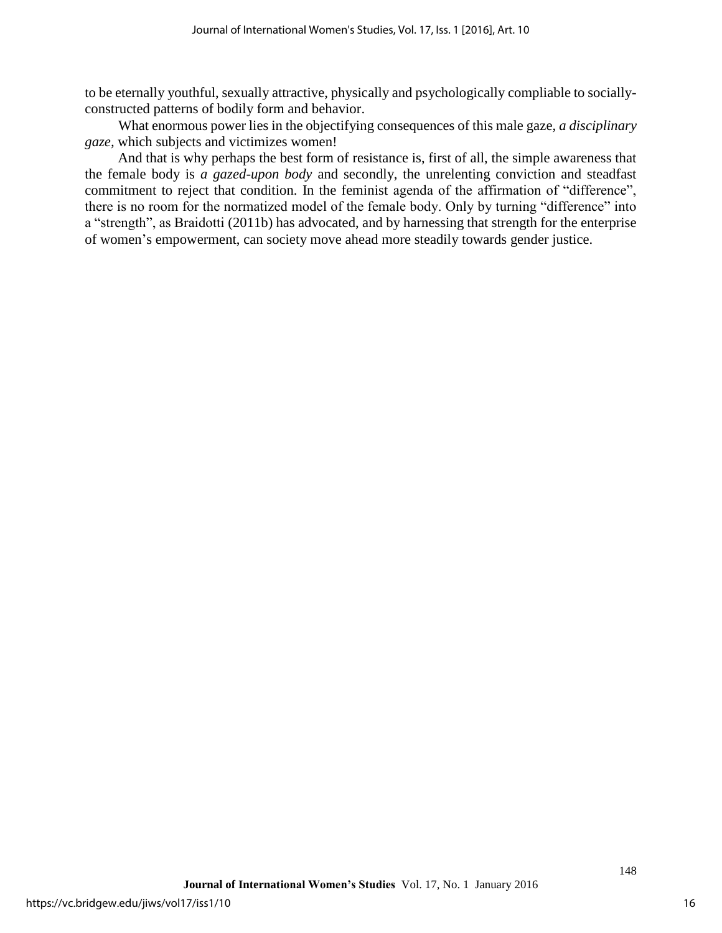to be eternally youthful, sexually attractive, physically and psychologically compliable to sociallyconstructed patterns of bodily form and behavior.

What enormous power lies in the objectifying consequences of this male gaze, *a disciplinary gaze,* which subjects and victimizes women!

And that is why perhaps the best form of resistance is, first of all, the simple awareness that the female body is *a gazed-upon body* and secondly, the unrelenting conviction and steadfast commitment to reject that condition. In the feminist agenda of the affirmation of "difference", there is no room for the normatized model of the female body. Only by turning "difference" into a "strength", as Braidotti (2011b) has advocated, and by harnessing that strength for the enterprise of women's empowerment, can society move ahead more steadily towards gender justice.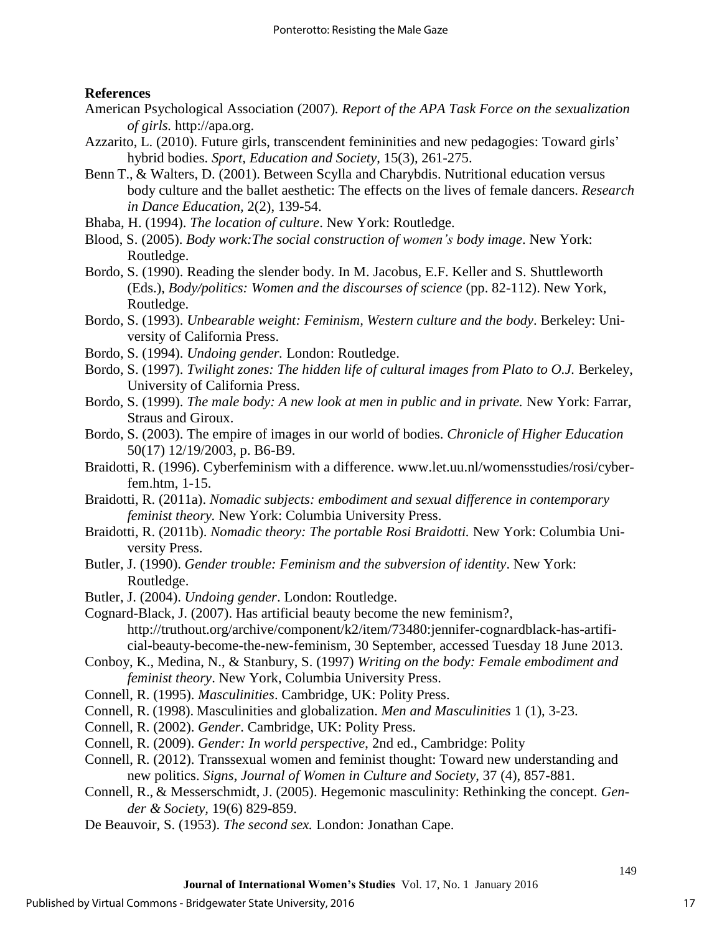## **References**

- American Psychological Association (2007)*. Report of the APA Task Force on the sexualization of girls.* [http://apa.org.](http://apa.org/)
- Azzarito, L. (2010). Future girls, transcendent femininities and new pedagogies: Toward girls' hybrid bodies. *Sport, Education and Society*, 15(3), 261-275.
- Benn T., & Walters, D. (2001). Between Scylla and Charybdis. Nutritional education versus body culture and the ballet aesthetic: The effects on the lives of female dancers. *Research in Dance Education,* 2(2), 139-54.
- Bhaba, H. (1994). *The location of culture*. New York: Routledge.
- Blood, S. (2005). *Body work:The social construction of women's body image*. New York: Routledge.
- Bordo, S. (1990). Reading the slender body. In M. Jacobus, E.F. Keller and S. Shuttleworth (Eds.), *Body/politics: Women and the discourses of science* (pp. 82-112). New York, Routledge.
- Bordo, S. (1993). *Unbearable weight: Feminism, Western culture and the body*. Berkeley: University of California Press.
- Bordo, S. (1994). *Undoing gender.* London: Routledge.
- Bordo, S. (1997). *Twilight zones: The hidden life of cultural images from Plato to O.J.* Berkeley, University of California Press.
- Bordo, S. (1999). *The male body: A new look at men in public and in private.* New York: Farrar, Straus and Giroux.
- Bordo, S. (2003). The empire of images in our world of bodies. *Chronicle of Higher Education*  50(17) 12/19/2003, p. B6-B9.
- Braidotti, R. (1996). Cyberfeminism with a difference. www.let.uu.nl/womensstudies/rosi/cyberfem.htm, 1-15.
- Braidotti, R. (2011a). *Nomadic subjects: embodiment and sexual difference in contemporary feminist theory.* New York: Columbia University Press.
- Braidotti, R. (2011b). *Nomadic theory: The portable Rosi Braidotti.* New York: Columbia University Press.
- Butler, J. (1990). *Gender trouble: Feminism and the subversion of identity*. New York: Routledge.
- Butler, J. (2004). *Undoing gender*. London: Routledge.

Cognard-Black, J. (2007). Has artificial beauty become the new feminism?, [http://truthout.org/archive/component/k2/item/73480:jennifer-cognardblack-has-artifi](http://truthout.org/archive/component/k2/item/73480:jennifer-cognardblack-has-artificial-beauty-become-the-new-feminism)[cial-beauty-become-the-new-feminism,](http://truthout.org/archive/component/k2/item/73480:jennifer-cognardblack-has-artificial-beauty-become-the-new-feminism) 30 September, accessed Tuesday 18 June 2013.

Conboy, K., Medina, N., & Stanbury, S. (1997) *Writing on the body: Female embodiment and feminist theory*. New York, Columbia University Press.

Connell, R. (1995). *Masculinities*. Cambridge, UK: Polity Press.

Connell, R. (1998). Masculinities and globalization. *Men and Masculinities* 1 (1), 3-23.

- Connell, R. (2002). *Gender*. Cambridge, UK: Polity Press.
- Connell, R. (2009). *Gender: In world perspective*, 2nd ed., Cambridge: Polity
- Connell, R. (2012). Transsexual women and feminist thought: Toward new understanding and new politics. *Signs*, *Journal of Women in Culture and Society*, 37 (4), 857-881.
- Connell, R., & Messerschmidt, J. (2005). Hegemonic masculinity: Rethinking the concept. *Gender & Society,* 19(6) 829-859.
- De Beauvoir, S. (1953). *The second sex.* London: Jonathan Cape.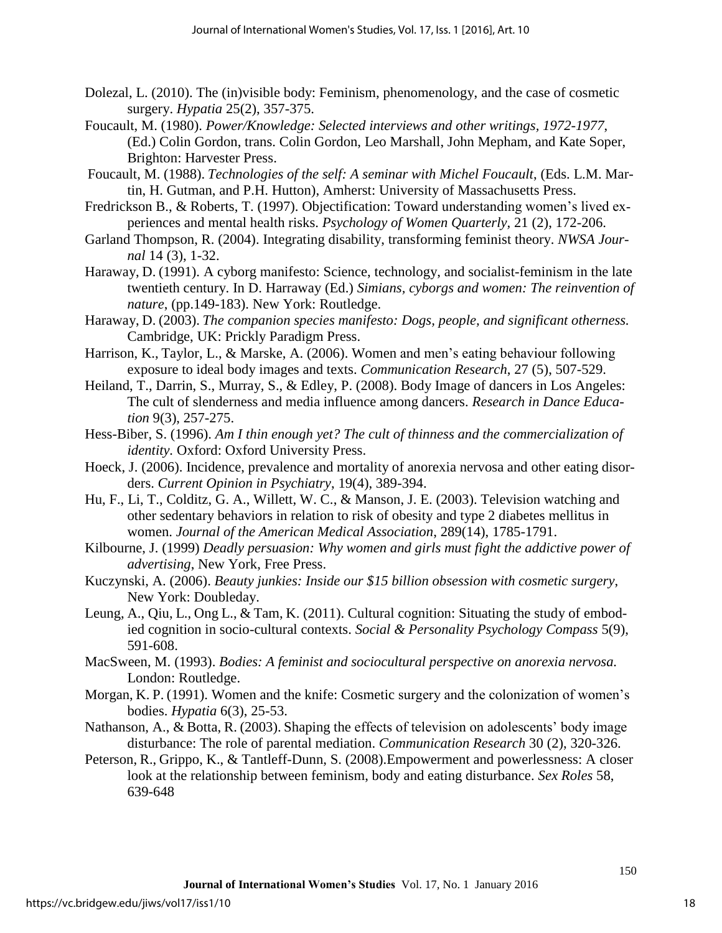- Dolezal, L. (2010). The (in)visible body: Feminism, phenomenology, and the case of cosmetic surgery. *Hypatia* 25(2), 357-375.
- Foucault, M. (1980). *Power/Knowledge: Selected interviews and other writings, 1972-1977*, (Ed.) Colin Gordon, trans. Colin Gordon, Leo Marshall, John Mepham, and Kate Soper, Brighton: Harvester Press.
- Foucault, M. (1988). *Technologies of the self: A seminar with Michel Foucault*, (Eds. L.M. Martin, H. Gutman, and P.H. Hutton), Amherst: University of Massachusetts Press.
- Fredrickson B., & Roberts, T. (1997). Objectification: Toward understanding women's lived experiences and mental health risks. *Psychology of Women Quarterly,* 21 (2), 172-206.
- Garland Thompson, R. (2004). Integrating disability, transforming feminist theory. *NWSA Journal* 14 (3), 1-32.
- Haraway, D. (1991). A cyborg manifesto: Science, technology, and socialist-feminism in the late twentieth century. In D. Harraway (Ed.) *Simians, cyborgs and women: The reinvention of nature*, (pp.149-183). New York: Routledge.
- Haraway, D. (2003). *The companion species manifesto: Dogs, people, and significant otherness.* Cambridge, UK: Prickly Paradigm Press.
- Harrison, K., Taylor, L., & Marske, A. (2006). Women and men's eating behaviour following exposure to ideal body images and texts. *Communication Research*, 27 (5), 507-529.
- Heiland, T., Darrin, S., Murray, S., & Edley, P. (2008). Body Image of dancers in Los Angeles: The cult of slenderness and media influence among dancers. *Research in Dance Education* 9(3), 257-275.
- Hess-Biber, S. (1996). *Am I thin enough yet? The cult of thinness and the commercialization of identity.* Oxford: Oxford University Press.
- Hoeck, J. (2006). Incidence, prevalence and mortality of anorexia nervosa and other eating disorders. *Current Opinion in Psychiatry*, 19(4), 389-394.
- Hu, F., Li, T., Colditz, G. A., Willett, W. C., & Manson, J. E. (2003). Television watching and other sedentary behaviors in relation to risk of obesity and type 2 diabetes mellitus in women. *Journal of the American Medical Association*, 289(14), 1785-1791.
- Kilbourne, J. (1999) *Deadly persuasion: Why women and girls must fight the addictive power of advertising*, New York, Free Press.
- Kuczynski, A. (2006). *Beauty junkies: Inside our \$15 billion obsession with cosmetic surgery*, New York: Doubleday.
- Leung, A., Qiu, L., Ong L., & Tam, K. (2011). Cultural cognition: Situating the study of embodied cognition in socio-cultural contexts. *[Social & Personality Psychology Compass](javascript:__doLinkPostBack()* 5(9), 591-608.
- MacSween, M. (1993). *Bodies: A feminist and sociocultural perspective on anorexia nervosa.* London: Routledge.
- Morgan, K. P. (1991). Women and the knife: Cosmetic surgery and the colonization of women's bodies. *Hypatia* 6(3), 25-53.
- Nathanson, A., & Botta, R. (2003). Shaping the effects of television on adolescents' body image disturbance: The role of parental mediation. *Communication Research* 30 (2), 320-326.
- Peterson, R., Grippo, K., & Tantleff-Dunn, S. (2008).Empowerment and powerlessness: A closer look at the relationship between feminism, body and eating disturbance. *Sex Roles* 58, 639-648